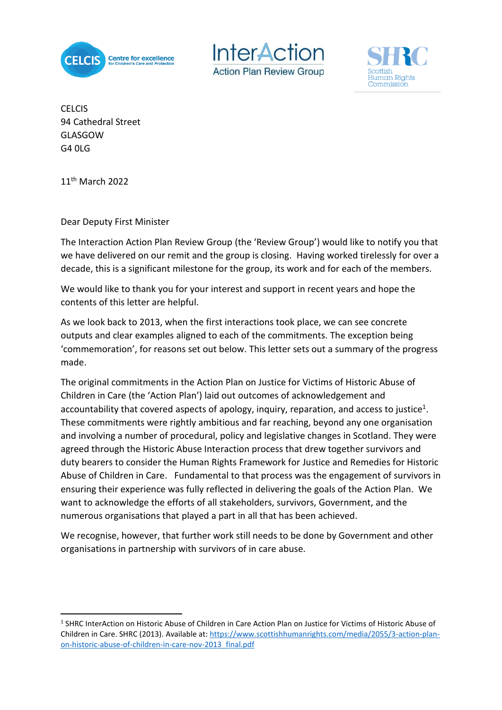





**CELCIS** 94 Cathedral Street GLASGOW G4 0LG

11th March 2022

**.** 

Dear Deputy First Minister

The Interaction Action Plan Review Group (the 'Review Group') would like to notify you that we have delivered on our remit and the group is closing. Having worked tirelessly for over a decade, this is a significant milestone for the group, its work and for each of the members.

We would like to thank you for your interest and support in recent years and hope the contents of this letter are helpful.

As we look back to 2013, when the first interactions took place, we can see concrete outputs and clear examples aligned to each of the commitments. The exception being 'commemoration', for reasons set out below. This letter sets out a summary of the progress made.

The original commitments in the Action Plan on Justice for Victims of Historic Abuse of Children in Care (the 'Action Plan') laid out outcomes of acknowledgement and accountability that covered aspects of apology, inquiry, reparation, and access to justice<sup>1</sup>. These commitments were rightly ambitious and far reaching, beyond any one organisation and involving a number of procedural, policy and legislative changes in Scotland. They were agreed through the Historic Abuse Interaction process that drew together survivors and duty bearers to consider the Human Rights Framework for Justice and Remedies for Historic Abuse of Children in Care. Fundamental to that process was the engagement of survivors in ensuring their experience was fully reflected in delivering the goals of the Action Plan. We want to acknowledge the efforts of all stakeholders, survivors, Government, and the numerous organisations that played a part in all that has been achieved.

We recognise, however, that further work still needs to be done by Government and other organisations in partnership with survivors of in care abuse.

<sup>&</sup>lt;sup>1</sup> SHRC InterAction on Historic Abuse of Children in Care Action Plan on Justice for Victims of Historic Abuse of Children in Care. SHRC (2013). Available at: [https://www.scottishhumanrights.com/media/2055/3-action-plan](https://www.scottishhumanrights.com/media/2055/3-action-plan-on-historic-abuse-of-children-in-care-nov-2013_final.pdf)[on-historic-abuse-of-children-in-care-nov-2013\\_final.pdf](https://www.scottishhumanrights.com/media/2055/3-action-plan-on-historic-abuse-of-children-in-care-nov-2013_final.pdf)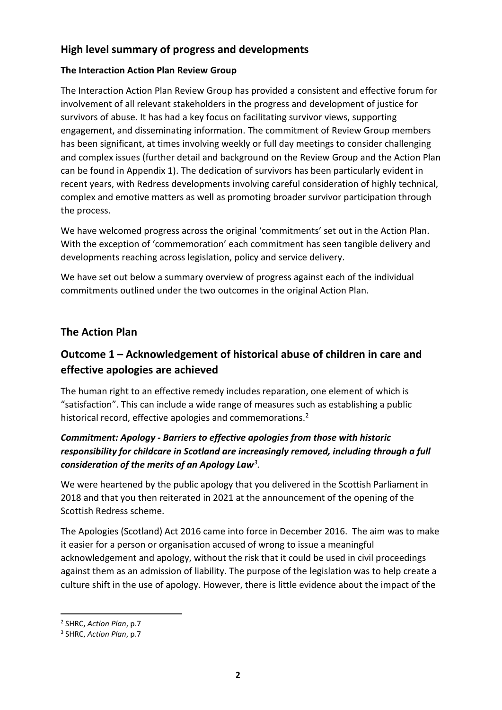# **High level summary of progress and developments**

#### **The Interaction Action Plan Review Group**

The Interaction Action Plan Review Group has provided a consistent and effective forum for involvement of all relevant stakeholders in the progress and development of justice for survivors of abuse. It has had a key focus on facilitating survivor views, supporting engagement, and disseminating information. The commitment of Review Group members has been significant, at times involving weekly or full day meetings to consider challenging and complex issues (further detail and background on the Review Group and the Action Plan can be found in Appendix 1). The dedication of survivors has been particularly evident in recent years, with Redress developments involving careful consideration of highly technical, complex and emotive matters as well as promoting broader survivor participation through the process.

We have welcomed progress across the original 'commitments' set out in the Action Plan. With the exception of 'commemoration' each commitment has seen tangible delivery and developments reaching across legislation, policy and service delivery.

We have set out below a summary overview of progress against each of the individual commitments outlined under the two outcomes in the original Action Plan.

# **The Action Plan**

# **Outcome 1 – Acknowledgement of historical abuse of children in care and effective apologies are achieved**

The human right to an effective remedy includes reparation, one element of which is "satisfaction". This can include a wide range of measures such as establishing a public historical record, effective apologies and commemorations.<sup>2</sup>

## *Commitment: Apology - Barriers to effective apologies from those with historic responsibility for childcare in Scotland are increasingly removed, including through a full consideration of the merits of an Apology Law<sup>3</sup> .*

We were heartened by the public apology that you delivered in the Scottish Parliament in 2018 and that you then reiterated in 2021 at the announcement of the opening of the Scottish Redress scheme.

The Apologies (Scotland) Act 2016 came into force in December 2016. The aim was to make it easier for a person or organisation accused of wrong to issue a meaningful acknowledgement and apology, without the risk that it could be used in civil proceedings against them as an admission of liability. The purpose of the legislation was to help create a culture shift in the use of apology. However, there is little evidence about the impact of the

**<sup>.</sup>** 2 SHRC, *Action Plan*, p.7

<sup>3</sup> SHRC, *Action Plan*, p.7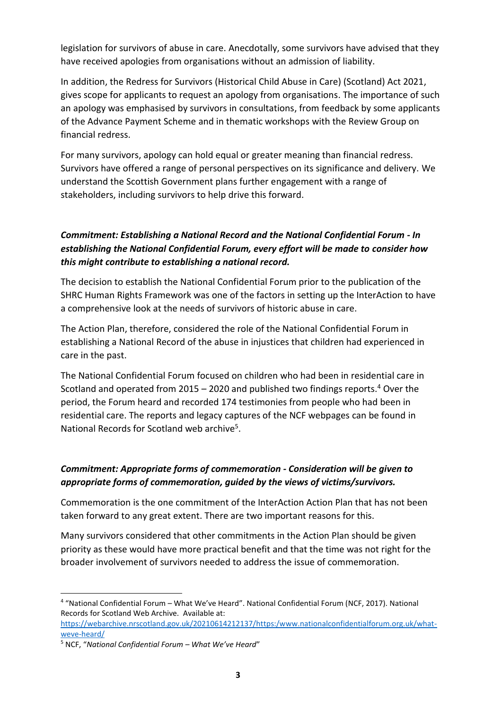legislation for survivors of abuse in care. Anecdotally, some survivors have advised that they have received apologies from organisations without an admission of liability.

In addition, the Redress for Survivors (Historical Child Abuse in Care) (Scotland) Act 2021, gives scope for applicants to request an apology from organisations. The importance of such an apology was emphasised by survivors in consultations, from feedback by some applicants of the Advance Payment Scheme and in thematic workshops with the Review Group on financial redress.

For many survivors, apology can hold equal or greater meaning than financial redress. Survivors have offered a range of personal perspectives on its significance and delivery. We understand the Scottish Government plans further engagement with a range of stakeholders, including survivors to help drive this forward.

## *Commitment: Establishing a National Record and the National Confidential Forum - In establishing the National Confidential Forum, every effort will be made to consider how this might contribute to establishing a national record.*

The decision to establish the National Confidential Forum prior to the publication of the SHRC Human Rights Framework was one of the factors in setting up the InterAction to have a comprehensive look at the needs of survivors of historic abuse in care.

The Action Plan, therefore, considered the role of the National Confidential Forum in establishing a National Record of the abuse in injustices that children had experienced in care in the past.

The National Confidential Forum focused on children who had been in residential care in Scotland and operated from 2015 – 2020 and published two findings reports.<sup>4</sup> Over the period, the Forum heard and recorded 174 testimonies from people who had been in residential care. The reports and legacy captures of the NCF webpages can be found in National Records for Scotland web archive<sup>5</sup>.

## *Commitment: Appropriate forms of commemoration - Consideration will be given to appropriate forms of commemoration, guided by the views of victims/survivors.*

Commemoration is the one commitment of the InterAction Action Plan that has not been taken forward to any great extent. There are two important reasons for this.

Many survivors considered that other commitments in the Action Plan should be given priority as these would have more practical benefit and that the time was not right for the broader involvement of survivors needed to address the issue of commemoration.

**<sup>.</sup>** 4 "National Confidential Forum – What We've Heard". National Confidential Forum (NCF, 2017). National Records for Scotland Web Archive. Available at:

[https://webarchive.nrscotland.gov.uk/20210614212137/https:/www.nationalconfidentialforum.org.uk/what](https://webarchive.nrscotland.gov.uk/20210614212137/https:/www.nationalconfidentialforum.org.uk/what-weve-heard/)[weve-heard/](https://webarchive.nrscotland.gov.uk/20210614212137/https:/www.nationalconfidentialforum.org.uk/what-weve-heard/)

<sup>5</sup> NCF, "*National Confidential Forum – What We've Heard*"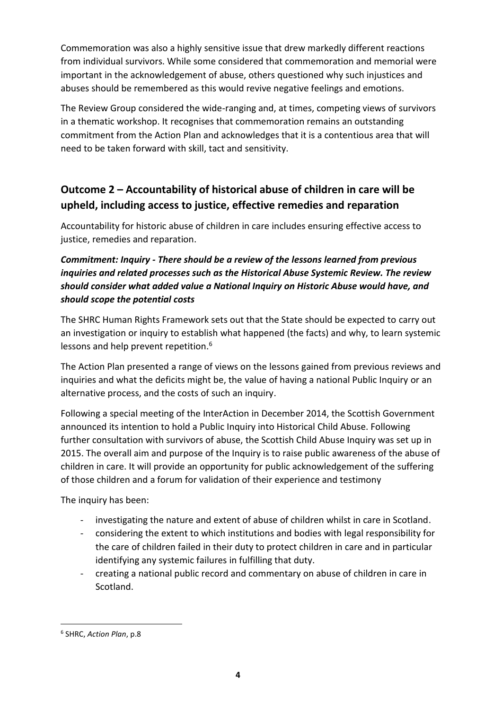Commemoration was also a highly sensitive issue that drew markedly different reactions from individual survivors. While some considered that commemoration and memorial were important in the acknowledgement of abuse, others questioned why such injustices and abuses should be remembered as this would revive negative feelings and emotions.

The Review Group considered the wide-ranging and, at times, competing views of survivors in a thematic workshop. It recognises that commemoration remains an outstanding commitment from the Action Plan and acknowledges that it is a contentious area that will need to be taken forward with skill, tact and sensitivity.

# **Outcome 2 – Accountability of historical abuse of children in care will be upheld, including access to justice, effective remedies and reparation**

Accountability for historic abuse of children in care includes ensuring effective access to justice, remedies and reparation.

# *Commitment: Inquiry - There should be a review of the lessons learned from previous inquiries and related processes such as the Historical Abuse Systemic Review. The review should consider what added value a National Inquiry on Historic Abuse would have, and should scope the potential costs*

The SHRC Human Rights Framework sets out that the State should be expected to carry out an investigation or inquiry to establish what happened (the facts) and why, to learn systemic lessons and help prevent repetition.<sup>6</sup>

The Action Plan presented a range of views on the lessons gained from previous reviews and inquiries and what the deficits might be, the value of having a national Public Inquiry or an alternative process, and the costs of such an inquiry.

Following a special meeting of the InterAction in December 2014, the Scottish Government announced its intention to hold a Public Inquiry into Historical Child Abuse. Following further consultation with survivors of abuse, the Scottish Child Abuse Inquiry was set up in 2015. The overall aim and purpose of the Inquiry is to raise public awareness of the abuse of children in care. It will provide an opportunity for public acknowledgement of the suffering of those children and a forum for validation of their experience and testimony

The inquiry has been:

- investigating the nature and extent of abuse of children whilst in care in Scotland.
- considering the extent to which institutions and bodies with legal responsibility for the care of children failed in their duty to protect children in care and in particular identifying any systemic failures in fulfilling that duty.
- creating a national public record and commentary on abuse of children in care in Scotland.

<sup>6</sup> SHRC, *Action Plan*, p.8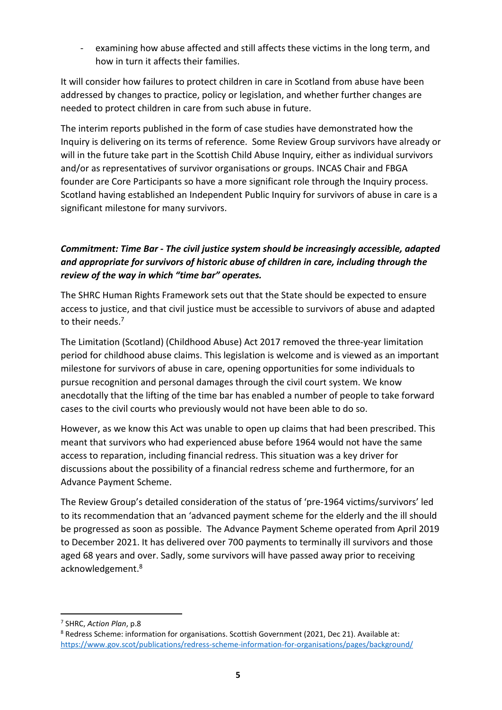- examining how abuse affected and still affects these victims in the long term, and how in turn it affects their families.

It will consider how failures to protect children in care in Scotland from abuse have been addressed by changes to practice, policy or legislation, and whether further changes are needed to protect children in care from such abuse in future.

The interim reports published in the form of case studies have demonstrated how the Inquiry is delivering on its terms of reference. Some Review Group survivors have already or will in the future take part in the Scottish Child Abuse Inquiry, either as individual survivors and/or as representatives of survivor organisations or groups. INCAS Chair and FBGA founder are Core Participants so have a more significant role through the Inquiry process. Scotland having established an Independent Public Inquiry for survivors of abuse in care is a significant milestone for many survivors.

## *Commitment: Time Bar - The civil justice system should be increasingly accessible, adapted and appropriate for survivors of historic abuse of children in care, including through the review of the way in which "time bar" operates.*

The SHRC Human Rights Framework sets out that the State should be expected to ensure access to justice, and that civil justice must be accessible to survivors of abuse and adapted to their needs.<sup>7</sup>

The Limitation (Scotland) (Childhood Abuse) Act 2017 removed the three-year limitation period for childhood abuse claims. This legislation is welcome and is viewed as an important milestone for survivors of abuse in care, opening opportunities for some individuals to pursue recognition and personal damages through the civil court system. We know anecdotally that the lifting of the time bar has enabled a number of people to take forward cases to the civil courts who previously would not have been able to do so.

However, as we know this Act was unable to open up claims that had been prescribed. This meant that survivors who had experienced abuse before 1964 would not have the same access to reparation, including financial redress. This situation was a key driver for discussions about the possibility of a financial redress scheme and furthermore, for an Advance Payment Scheme.

The Review Group's detailed consideration of the status of 'pre-1964 victims/survivors' led to its recommendation that an 'advanced payment scheme for the elderly and the ill should be progressed as soon as possible. The Advance Payment Scheme operated from April 2019 to December 2021. It has delivered over 700 payments to terminally ill survivors and those aged 68 years and over. Sadly, some survivors will have passed away prior to receiving acknowledgement. 8

**.** 

<sup>7</sup> SHRC, *Action Plan*, p.8

<sup>8</sup> Redress Scheme: information for organisations. Scottish Government (2021, Dec 21). Available at: <https://www.gov.scot/publications/redress-scheme-information-for-organisations/pages/background/>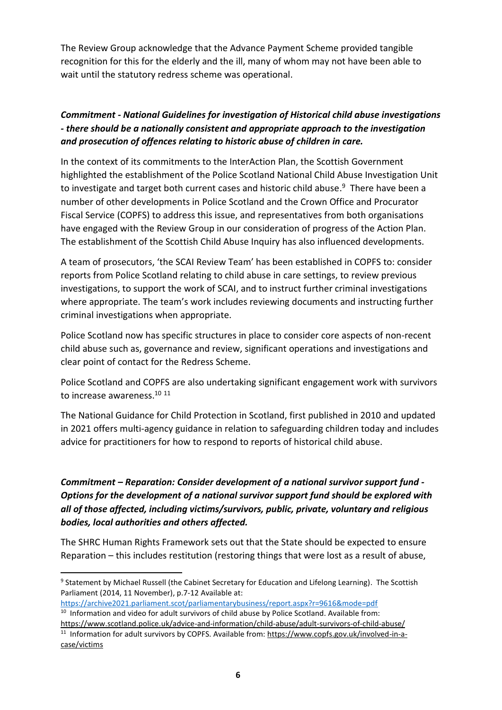The Review Group acknowledge that the Advance Payment Scheme provided tangible recognition for this for the elderly and the ill, many of whom may not have been able to wait until the statutory redress scheme was operational.

# *Commitment - National Guidelines for investigation of Historical child abuse investigations - there should be a nationally consistent and appropriate approach to the investigation and prosecution of offences relating to historic abuse of children in care.*

In the context of its commitments to the InterAction Plan, the Scottish Government highlighted the establishment of the Police Scotland National Child Abuse Investigation Unit to investigate and target both current cases and historic child abuse.<sup>9</sup> There have been a number of other developments in Police Scotland and the Crown Office and Procurator Fiscal Service (COPFS) to address this issue, and representatives from both organisations have engaged with the Review Group in our consideration of progress of the Action Plan. The establishment of the Scottish Child Abuse Inquiry has also influenced developments.

A team of prosecutors, 'the SCAI Review Team' has been established in COPFS to: consider reports from Police Scotland relating to child abuse in care settings, to review previous investigations, to support the work of SCAI, and to instruct further criminal investigations where appropriate. The team's work includes reviewing documents and instructing further criminal investigations when appropriate.

Police Scotland now has specific structures in place to consider core aspects of non-recent child abuse such as, governance and review, significant operations and investigations and clear point of contact for the Redress Scheme.

Police Scotland and COPFS are also undertaking significant engagement work with survivors to increase awareness.<sup>10 11</sup>

The National Guidance for Child Protection in Scotland, first published in 2010 and updated in 2021 offers multi-agency guidance in relation to safeguarding children today and includes advice for practitioners for how to respond to reports of historical child abuse.

# *Commitment – Reparation: Consider development of a national survivor support fund - Options for the development of a national survivor support fund should be explored with all of those affected, including victims/survivors, public, private, voluntary and religious bodies, local authorities and others affected.*

The SHRC Human Rights Framework sets out that the State should be expected to ensure Reparation – this includes restitution (restoring things that were lost as a result of abuse,

**<sup>.</sup>** <sup>9</sup> Statement by Michael Russell (the Cabinet Secretary for Education and Lifelong Learning). The Scottish Parliament (2014, 11 November), p.7-12 Available at:

<https://archive2021.parliament.scot/parliamentarybusiness/report.aspx?r=9616&mode=pdf>

 $10$  Information and video for adult survivors of child abuse by Police Scotland. Available from: <https://www.scotland.police.uk/advice-and-information/child-abuse/adult-survivors-of-child-abuse/> <sup>11</sup> Information for adult survivors by COPFS. Available from: [https://www.copfs.gov.uk/involved-in-a](https://www.copfs.gov.uk/involved-in-a-case/victims)[case/victims](https://www.copfs.gov.uk/involved-in-a-case/victims)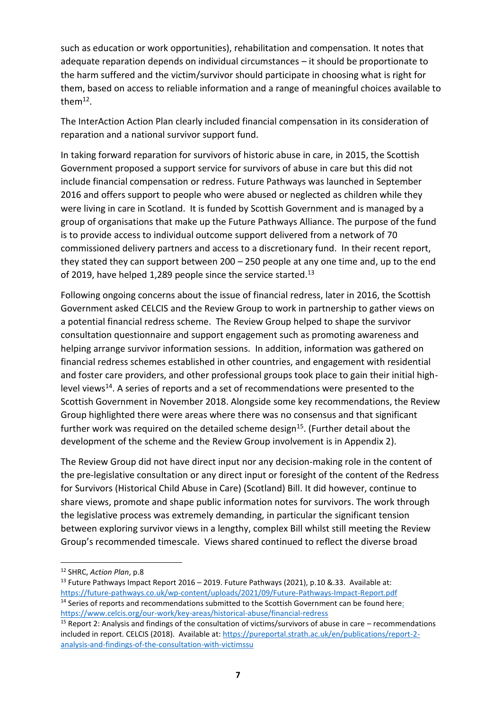such as education or work opportunities), rehabilitation and compensation. It notes that adequate reparation depends on individual circumstances – it should be proportionate to the harm suffered and the victim/survivor should participate in choosing what is right for them, based on access to reliable information and a range of meaningful choices available to them $^{12}$ .

The InterAction Action Plan clearly included financial compensation in its consideration of reparation and a national survivor support fund.

In taking forward reparation for survivors of historic abuse in care, in 2015, the Scottish Government proposed a support service for survivors of abuse in care but this did not include financial compensation or redress. Future Pathways was launched in September 2016 and offers support to people who were abused or neglected as children while they were living in care in Scotland. It is funded by Scottish Government and is managed by a group of organisations that make up the Future Pathways Alliance. The purpose of the fund is to provide access to individual outcome support delivered from a network of 70 commissioned delivery partners and access to a discretionary fund. In their recent report, they stated they can support between 200 – 250 people at any one time and, up to the end of 2019, have helped 1,289 people since the service started.<sup>13</sup>

Following ongoing concerns about the issue of financial redress, later in 2016, the Scottish Government asked CELCIS and the Review Group to work in partnership to gather views on a potential financial redress scheme. The Review Group helped to shape the survivor consultation questionnaire and support engagement such as promoting awareness and helping arrange survivor information sessions. In addition, information was gathered on financial redress schemes established in other countries, and engagement with residential and foster care providers, and other professional groups took place to gain their initial highlevel views<sup>14</sup>. A series of reports and a set of recommendations were presented to the Scottish Government in November 2018. Alongside some key recommendations, the Review Group highlighted there were areas where there was no consensus and that significant further work was required on the detailed scheme design<sup>15</sup>. (Further detail about the development of the scheme and the Review Group involvement is in Appendix 2).

The Review Group did not have direct input nor any decision-making role in the content of the pre-legislative consultation or any direct input or foresight of the content of the Redress for Survivors (Historical Child Abuse in Care) (Scotland) Bill. It did however, continue to share views, promote and shape public information notes for survivors. The work through the legislative process was extremely demanding, in particular the significant tension between exploring survivor views in a lengthy, complex Bill whilst still meeting the Review Group's recommended timescale. Views shared continued to reflect the diverse broad

<sup>12</sup> SHRC, *Action Plan*, p.8

<sup>&</sup>lt;sup>13</sup> Future Pathways Impact Report 2016 - 2019. Future Pathways (2021), p.10 &.33. Available at: <https://future-pathways.co.uk/wp-content/uploads/2021/09/Future-Pathways-Impact-Report.pdf> <sup>14</sup> Series of reports and recommendations submitted to the Scottish Government can be found here: https://www.celcis.org/our-work/key-areas/historical-abuse/financial-redress

<sup>&</sup>lt;sup>15</sup> Report 2: Analysis and findings of the consultation of victims/survivors of abuse in care – recommendations included in report. CELCIS (2018). Available at: [https://pureportal.strath.ac.uk/en/publications/report-2](https://pureportal.strath.ac.uk/en/publications/report-2-analysis-and-findings-of-the-consultation-with-victimssu) [analysis-and-findings-of-the-consultation-with-victimssu](https://pureportal.strath.ac.uk/en/publications/report-2-analysis-and-findings-of-the-consultation-with-victimssu)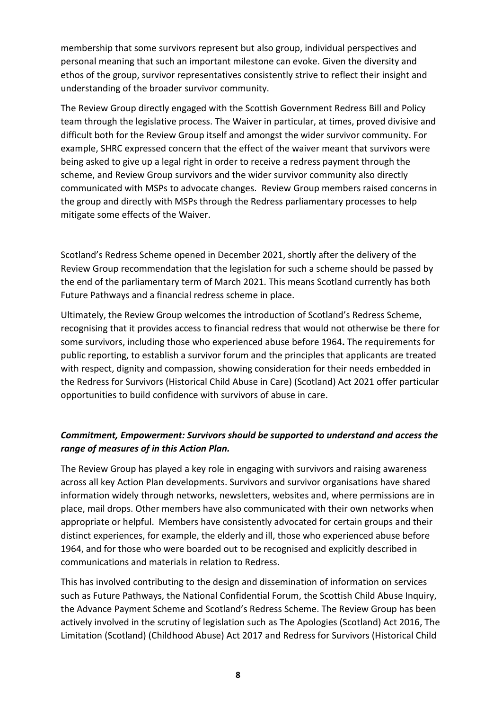membership that some survivors represent but also group, individual perspectives and personal meaning that such an important milestone can evoke. Given the diversity and ethos of the group, survivor representatives consistently strive to reflect their insight and understanding of the broader survivor community.

The Review Group directly engaged with the Scottish Government Redress Bill and Policy team through the legislative process. The Waiver in particular, at times, proved divisive and difficult both for the Review Group itself and amongst the wider survivor community. For example, SHRC expressed concern that the effect of the waiver meant that survivors were being asked to give up a legal right in order to receive a redress payment through the scheme, and Review Group survivors and the wider survivor community also directly communicated with MSPs to advocate changes. Review Group members raised concerns in the group and directly with MSPs through the Redress parliamentary processes to help mitigate some effects of the Waiver.

Scotland's Redress Scheme opened in December 2021, shortly after the delivery of the Review Group recommendation that the legislation for such a scheme should be passed by the end of the parliamentary term of March 2021. This means Scotland currently has both Future Pathways and a financial redress scheme in place.

Ultimately, the Review Group welcomes the introduction of Scotland's Redress Scheme, recognising that it provides access to financial redress that would not otherwise be there for some survivors, including those who experienced abuse before 1964**.** The requirements for public reporting, to establish a survivor forum and the principles that applicants are treated with respect, dignity and compassion, showing consideration for their needs embedded in the Redress for Survivors (Historical Child Abuse in Care) (Scotland) Act 2021 offer particular opportunities to build confidence with survivors of abuse in care.

#### *Commitment, Empowerment: Survivors should be supported to understand and access the range of measures of in this Action Plan.*

The Review Group has played a key role in engaging with survivors and raising awareness across all key Action Plan developments. Survivors and survivor organisations have shared information widely through networks, newsletters, websites and, where permissions are in place, mail drops. Other members have also communicated with their own networks when appropriate or helpful. Members have consistently advocated for certain groups and their distinct experiences, for example, the elderly and ill, those who experienced abuse before 1964, and for those who were boarded out to be recognised and explicitly described in communications and materials in relation to Redress.

This has involved contributing to the design and dissemination of information on services such as Future Pathways, the National Confidential Forum, the Scottish Child Abuse Inquiry, the Advance Payment Scheme and Scotland's Redress Scheme. The Review Group has been actively involved in the scrutiny of legislation such as The Apologies (Scotland) Act 2016, The Limitation (Scotland) (Childhood Abuse) Act 2017 and Redress for Survivors (Historical Child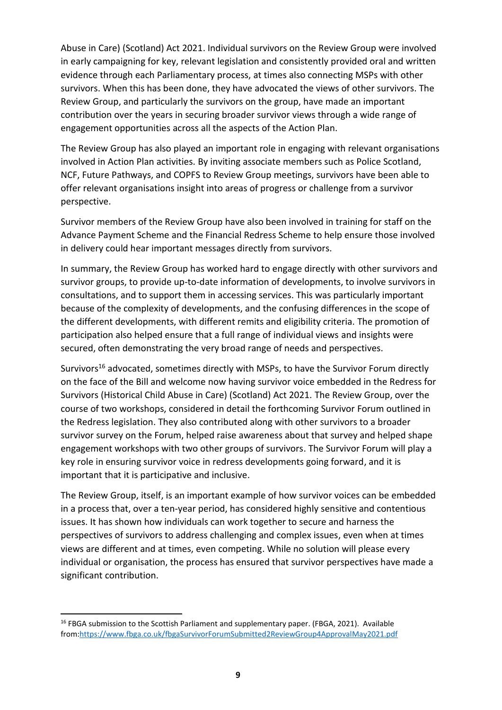Abuse in Care) (Scotland) Act 2021. Individual survivors on the Review Group were involved in early campaigning for key, relevant legislation and consistently provided oral and written evidence through each Parliamentary process, at times also connecting MSPs with other survivors. When this has been done, they have advocated the views of other survivors. The Review Group, and particularly the survivors on the group, have made an important contribution over the years in securing broader survivor views through a wide range of engagement opportunities across all the aspects of the Action Plan.

The Review Group has also played an important role in engaging with relevant organisations involved in Action Plan activities. By inviting associate members such as Police Scotland, NCF, Future Pathways, and COPFS to Review Group meetings, survivors have been able to offer relevant organisations insight into areas of progress or challenge from a survivor perspective.

Survivor members of the Review Group have also been involved in training for staff on the Advance Payment Scheme and the Financial Redress Scheme to help ensure those involved in delivery could hear important messages directly from survivors.

In summary, the Review Group has worked hard to engage directly with other survivors and survivor groups, to provide up-to-date information of developments, to involve survivors in consultations, and to support them in accessing services. This was particularly important because of the complexity of developments, and the confusing differences in the scope of the different developments, with different remits and eligibility criteria. The promotion of participation also helped ensure that a full range of individual views and insights were secured, often demonstrating the very broad range of needs and perspectives.

Survivors<sup>16</sup> advocated, sometimes directly with MSPs, to have the Survivor Forum directly on the face of the Bill and welcome now having survivor voice embedded in the Redress for Survivors (Historical Child Abuse in Care) (Scotland) Act 2021. The Review Group, over the course of two workshops, considered in detail the forthcoming Survivor Forum outlined in the Redress legislation. They also contributed along with other survivors to a broader survivor survey on the Forum, helped raise awareness about that survey and helped shape engagement workshops with two other groups of survivors. The Survivor Forum will play a key role in ensuring survivor voice in redress developments going forward, and it is important that it is participative and inclusive.

The Review Group, itself, is an important example of how survivor voices can be embedded in a process that, over a ten-year period, has considered highly sensitive and contentious issues. It has shown how individuals can work together to secure and harness the perspectives of survivors to address challenging and complex issues, even when at times views are different and at times, even competing. While no solution will please every individual or organisation, the process has ensured that survivor perspectives have made a significant contribution.

**.** 

<sup>&</sup>lt;sup>16</sup> FBGA submission to the Scottish Parliament and supplementary paper. (FBGA, 2021). Available from[:https://www.fbga.co.uk/fbgaSurvivorForumSubmitted2ReviewGroup4ApprovalMay2021.pdf](https://www.fbga.co.uk/fbgaSurvivorForumSubmitted2ReviewGroup4ApprovalMay2021.pdf)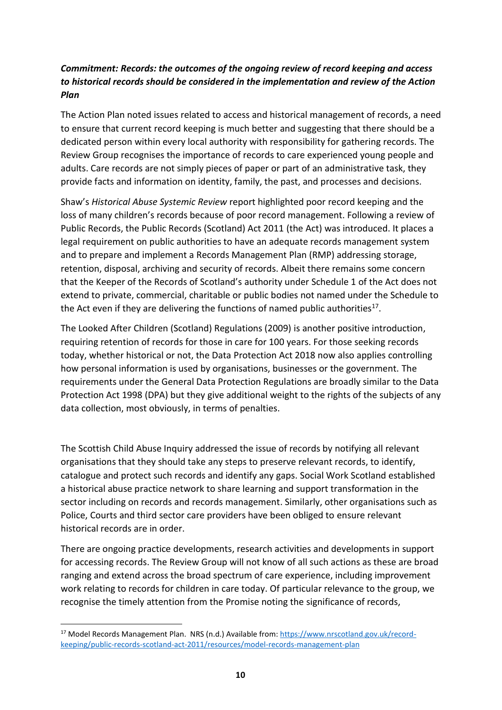### *Commitment: Records: the outcomes of the ongoing review of record keeping and access to historical records should be considered in the implementation and review of the Action Plan*

The Action Plan noted issues related to access and historical management of records, a need to ensure that current record keeping is much better and suggesting that there should be a dedicated person within every local authority with responsibility for gathering records. The Review Group recognises the importance of records to care experienced young people and adults. Care records are not simply pieces of paper or part of an administrative task, they provide facts and information on identity, family, the past, and processes and decisions.

Shaw's *Historical Abuse Systemic Review* report highlighted poor record keeping and the loss of many children's records because of poor record management. Following a review of Public Records, the Public Records (Scotland) Act 2011 (the Act) was introduced. It places a legal requirement on public authorities to have an adequate records management system and to prepare and implement a Records Management Plan (RMP) addressing storage, retention, disposal, archiving and security of records. Albeit there remains some concern that the Keeper of the Records of Scotland's authority under Schedule 1 of the Act does not extend to private, commercial, charitable or public bodies not named under the Schedule to the Act even if they are delivering the functions of named public authorities $^{17}$ .

The Looked After Children (Scotland) Regulations (2009) is another positive introduction, requiring retention of records for those in care for 100 years. For those seeking records today, whether historical or not, the Data Protection Act 2018 now also applies controlling how personal information is used by organisations, businesses or the government. The requirements under the General Data Protection Regulations are broadly similar to the Data Protection Act 1998 (DPA) but they give additional weight to the rights of the subjects of any data collection, most obviously, in terms of penalties.

The Scottish Child Abuse Inquiry addressed the issue of records by notifying all relevant organisations that they should take any steps to preserve relevant records, to identify, catalogue and protect such records and identify any gaps. Social Work Scotland established a historical abuse practice network to share learning and support transformation in the sector including on records and records management. Similarly, other organisations such as Police, Courts and third sector care providers have been obliged to ensure relevant historical records are in order.

There are ongoing practice developments, research activities and developments in support for accessing records. The Review Group will not know of all such actions as these are broad ranging and extend across the broad spectrum of care experience, including improvement work relating to records for children in care today. Of particular relevance to the group, we recognise the timely attention from the Promise noting the significance of records,

<sup>17</sup> Model Records Management Plan. NRS (n.d.) Available from: [https://www.nrscotland.gov.uk/record](https://www.nrscotland.gov.uk/record-keeping/public-records-scotland-act-2011/resources/model-records-management-plan)[keeping/public-records-scotland-act-2011/resources/model-records-management-plan](https://www.nrscotland.gov.uk/record-keeping/public-records-scotland-act-2011/resources/model-records-management-plan)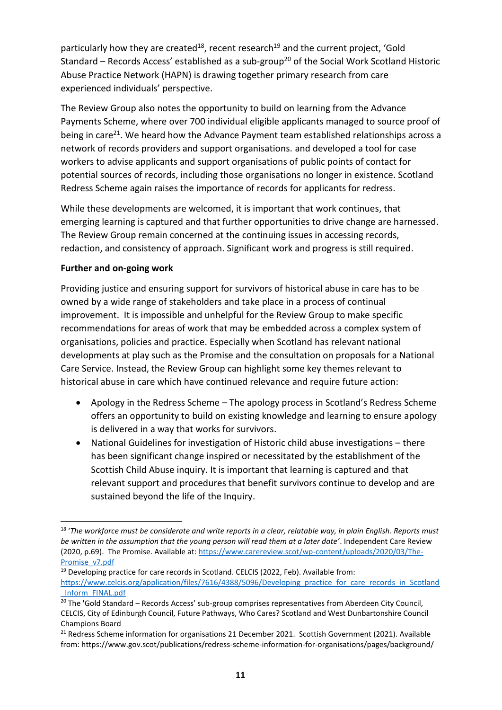particularly how they are created<sup>18</sup>, recent research<sup>19</sup> and the current project, 'Gold Standard – Records Access' established as a sub-group<sup>20</sup> of the Social Work Scotland Historic Abuse Practice Network (HAPN) is drawing together primary research from care experienced individuals' perspective.

The Review Group also notes the opportunity to build on learning from the Advance Payments Scheme, where over 700 individual eligible applicants managed to source proof of being in care<sup>21</sup>. We heard how the Advance Payment team established relationships across a network of records providers and support organisations. and developed a tool for case workers to advise applicants and support organisations of public points of contact for potential sources of records, including those organisations no longer in existence. Scotland Redress Scheme again raises the importance of records for applicants for redress.

While these developments are welcomed, it is important that work continues, that emerging learning is captured and that further opportunities to drive change are harnessed. The Review Group remain concerned at the continuing issues in accessing records, redaction, and consistency of approach. Significant work and progress is still required.

#### **Further and on-going work**

**.** 

Providing justice and ensuring support for survivors of historical abuse in care has to be owned by a wide range of stakeholders and take place in a process of continual improvement. It is impossible and unhelpful for the Review Group to make specific recommendations for areas of work that may be embedded across a complex system of organisations, policies and practice. Especially when Scotland has relevant national developments at play such as the Promise and the consultation on proposals for a National Care Service. Instead, the Review Group can highlight some key themes relevant to historical abuse in care which have continued relevance and require future action:

- Apology in the Redress Scheme The apology process in Scotland's Redress Scheme offers an opportunity to build on existing knowledge and learning to ensure apology is delivered in a way that works for survivors.
- National Guidelines for investigation of Historic child abuse investigations there has been significant change inspired or necessitated by the establishment of the Scottish Child Abuse inquiry. It is important that learning is captured and that relevant support and procedures that benefit survivors continue to develop and are sustained beyond the life of the Inquiry.

<sup>&</sup>lt;sup>18</sup> 'The workforce must be considerate and write reports in a clear, relatable way, in plain English. Reports must *be written in the assumption that the young person will read them at a later date'*. Independent Care Review (2020, p.69). The Promise. Available at[: https://www.carereview.scot/wp-content/uploads/2020/03/The-](https://www.carereview.scot/wp-content/uploads/2020/03/The-Promise_v7.pdf)[Promise\\_v7.pdf](https://www.carereview.scot/wp-content/uploads/2020/03/The-Promise_v7.pdf)

<sup>&</sup>lt;sup>19</sup> Developing practice for care records in Scotland. CELCIS (2022, Feb). Available from: [https://www.celcis.org/application/files/7616/4388/5096/Developing\\_practice\\_for\\_care\\_records\\_in\\_Scotland](https://www.celcis.org/application/files/7616/4388/5096/Developing_practice_for_care_records_in_Scotland_Inform_FINAL.pdf) [\\_Inform\\_FINAL.pdf](https://www.celcis.org/application/files/7616/4388/5096/Developing_practice_for_care_records_in_Scotland_Inform_FINAL.pdf)

<sup>&</sup>lt;sup>20</sup> The 'Gold Standard – Records Access' sub-group comprises representatives from Aberdeen City Council, CELCIS, City of Edinburgh Council, Future Pathways, Who Cares? Scotland and West Dunbartonshire Council Champions Board

<sup>&</sup>lt;sup>21</sup> Redress Scheme information for organisations 21 December 2021. Scottish Government (2021). Available from: https://www.gov.scot/publications/redress-scheme-information-for-organisations/pages/background/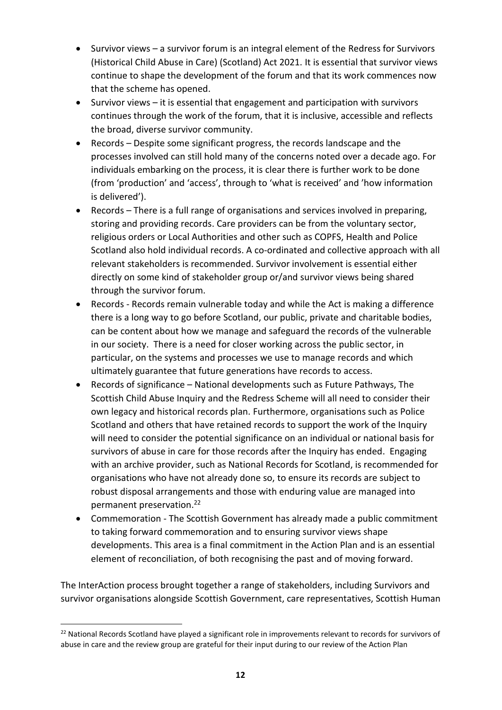- Survivor views a survivor forum is an integral element of the Redress for Survivors (Historical Child Abuse in Care) (Scotland) Act 2021. It is essential that survivor views continue to shape the development of the forum and that its work commences now that the scheme has opened.
- Survivor views it is essential that engagement and participation with survivors continues through the work of the forum, that it is inclusive, accessible and reflects the broad, diverse survivor community.
- Records Despite some significant progress, the records landscape and the processes involved can still hold many of the concerns noted over a decade ago. For individuals embarking on the process, it is clear there is further work to be done (from 'production' and 'access', through to 'what is received' and 'how information is delivered').
- Records There is a full range of organisations and services involved in preparing, storing and providing records. Care providers can be from the voluntary sector, religious orders or Local Authorities and other such as COPFS, Health and Police Scotland also hold individual records. A co-ordinated and collective approach with all relevant stakeholders is recommended. Survivor involvement is essential either directly on some kind of stakeholder group or/and survivor views being shared through the survivor forum.
- Records Records remain vulnerable today and while the Act is making a difference there is a long way to go before Scotland, our public, private and charitable bodies, can be content about how we manage and safeguard the records of the vulnerable in our society. There is a need for closer working across the public sector, in particular, on the systems and processes we use to manage records and which ultimately guarantee that future generations have records to access.
- Records of significance National developments such as Future Pathways, The Scottish Child Abuse Inquiry and the Redress Scheme will all need to consider their own legacy and historical records plan. Furthermore, organisations such as Police Scotland and others that have retained records to support the work of the Inquiry will need to consider the potential significance on an individual or national basis for survivors of abuse in care for those records after the Inquiry has ended. Engaging with an archive provider, such as National Records for Scotland, is recommended for organisations who have not already done so, to ensure its records are subject to robust disposal arrangements and those with enduring value are managed into permanent preservation.<sup>22</sup>
- Commemoration The Scottish Government has already made a public commitment to taking forward commemoration and to ensuring survivor views shape developments. This area is a final commitment in the Action Plan and is an essential element of reconciliation, of both recognising the past and of moving forward.

The InterAction process brought together a range of stakeholders, including Survivors and survivor organisations alongside Scottish Government, care representatives, Scottish Human

<sup>&</sup>lt;sup>22</sup> National Records Scotland have played a significant role in improvements relevant to records for survivors of abuse in care and the review group are grateful for their input during to our review of the Action Plan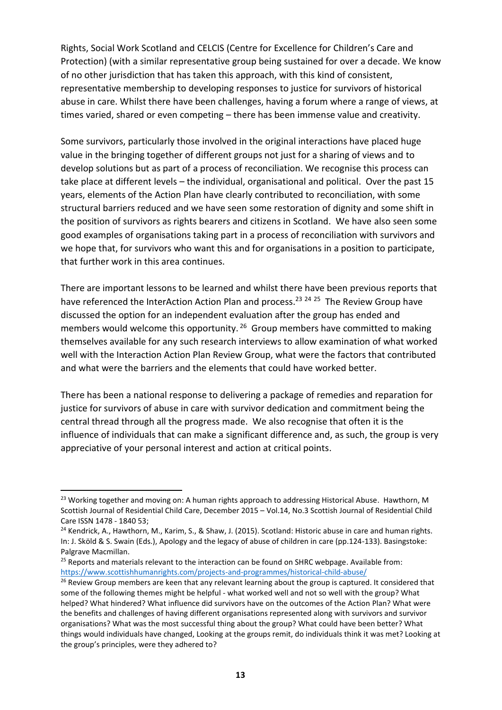Rights, Social Work Scotland and CELCIS (Centre for Excellence for Children's Care and Protection) (with a similar representative group being sustained for over a decade. We know of no other jurisdiction that has taken this approach, with this kind of consistent, representative membership to developing responses to justice for survivors of historical abuse in care. Whilst there have been challenges, having a forum where a range of views, at times varied, shared or even competing – there has been immense value and creativity.

Some survivors, particularly those involved in the original interactions have placed huge value in the bringing together of different groups not just for a sharing of views and to develop solutions but as part of a process of reconciliation. We recognise this process can take place at different levels – the individual, organisational and political. Over the past 15 years, elements of the Action Plan have clearly contributed to reconciliation, with some structural barriers reduced and we have seen some restoration of dignity and some shift in the position of survivors as rights bearers and citizens in Scotland. We have also seen some good examples of organisations taking part in a process of reconciliation with survivors and we hope that, for survivors who want this and for organisations in a position to participate, that further work in this area continues.

There are important lessons to be learned and whilst there have been previous reports that have referenced the InterAction Action Plan and process.<sup>23 24 25</sup> The Review Group have discussed the option for an independent evaluation after the group has ended and members would welcome this opportunity. <sup>26</sup> Group members have committed to making themselves available for any such research interviews to allow examination of what worked well with the Interaction Action Plan Review Group, what were the factors that contributed and what were the barriers and the elements that could have worked better.

There has been a national response to delivering a package of remedies and reparation for justice for survivors of abuse in care with survivor dedication and commitment being the central thread through all the progress made. We also recognise that often it is the influence of individuals that can make a significant difference and, as such, the group is very appreciative of your personal interest and action at critical points.

<sup>&</sup>lt;sup>23</sup> Working together and moving on: A human rights approach to addressing Historical Abuse. Hawthorn, M Scottish Journal of Residential Child Care, December 2015 – Vol.14, No.3 Scottish Journal of Residential Child Care ISSN 1478 - 1840 53;

<sup>&</sup>lt;sup>24</sup> Kendrick, A., Hawthorn, M., Karim, S., & Shaw, J. (2015). Scotland: Historic abuse in care and human rights. In: J. Sköld & S. Swain (Eds.), Apology and the legacy of abuse of children in care (pp.124-133). Basingstoke: Palgrave Macmillan.

<sup>&</sup>lt;sup>25</sup> Reports and materials relevant to the interaction can be found on SHRC webpage. Available from: <https://www.scottishhumanrights.com/projects-and-programmes/historical-child-abuse/>

<sup>&</sup>lt;sup>26</sup> Review Group members are keen that any relevant learning about the group is captured. It considered that some of the following themes might be helpful - what worked well and not so well with the group? What helped? What hindered? What influence did survivors have on the outcomes of the Action Plan? What were the benefits and challenges of having different organisations represented along with survivors and survivor organisations? What was the most successful thing about the group? What could have been better? What things would individuals have changed, Looking at the groups remit, do individuals think it was met? Looking at the group's principles, were they adhered to?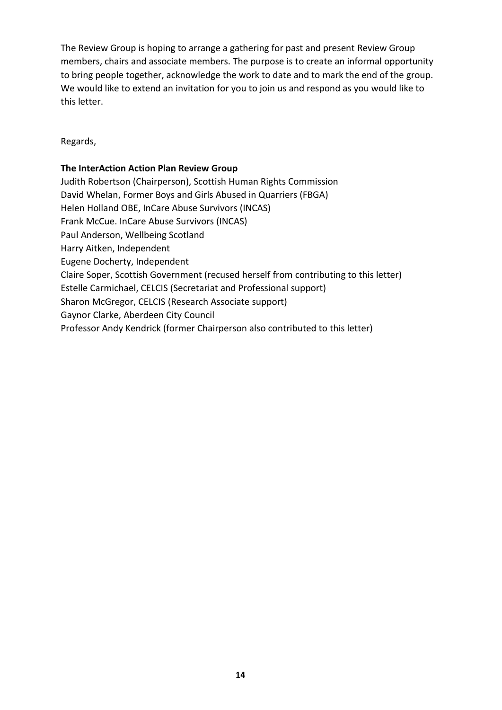The Review Group is hoping to arrange a gathering for past and present Review Group members, chairs and associate members. The purpose is to create an informal opportunity to bring people together, acknowledge the work to date and to mark the end of the group. We would like to extend an invitation for you to join us and respond as you would like to this letter.

Regards,

#### **The InterAction Action Plan Review Group**

Judith Robertson (Chairperson), Scottish Human Rights Commission David Whelan, Former Boys and Girls Abused in Quarriers (FBGA) Helen Holland OBE, InCare Abuse Survivors (INCAS) Frank McCue. InCare Abuse Survivors (INCAS) Paul Anderson, Wellbeing Scotland Harry Aitken, Independent Eugene Docherty, Independent Claire Soper, Scottish Government (recused herself from contributing to this letter) Estelle Carmichael, CELCIS (Secretariat and Professional support) Sharon McGregor, CELCIS (Research Associate support) Gaynor Clarke, Aberdeen City Council Professor Andy Kendrick (former Chairperson also contributed to this letter)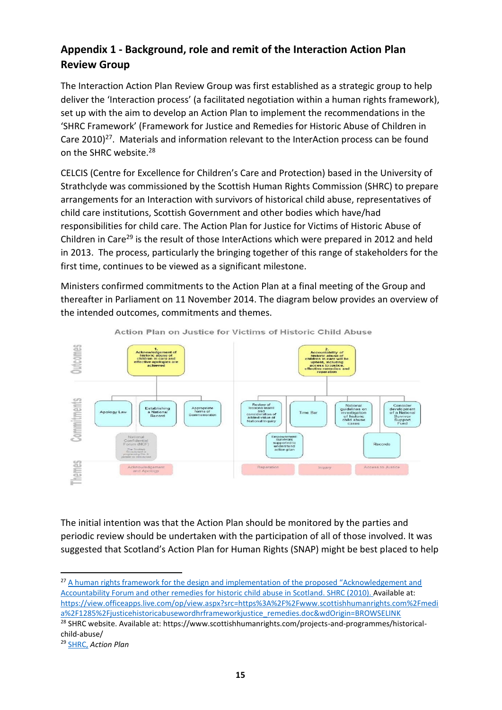# **Appendix 1 - Background, role and remit of the Interaction Action Plan Review Group**

The Interaction Action Plan Review Group was first established as a strategic group to help deliver the 'Interaction process' (a facilitated negotiation within a human rights framework), set up with the aim to develop an Action Plan to implement the recommendations in the 'SHRC Framework' (Framework for Justice and Remedies for Historic Abuse of Children in Care  $2010)^{27}$ . Materials and information relevant to the InterAction process can be found on the SHRC website.<sup>28</sup>

CELCIS (Centre for Excellence for Children's Care and Protection) based in the University of Strathclyde was commissioned by the Scottish Human Rights Commission (SHRC) to prepare arrangements for an Interaction with survivors of historical child abuse, representatives of child care institutions, Scottish Government and other bodies which have/had responsibilities for child care. The Action Plan for Justice for Victims of Historic Abuse of Children in Care<sup>29</sup> is the result of those InterActions which were prepared in 2012 and held in 2013. The process, particularly the bringing together of this range of stakeholders for the first time, continues to be viewed as a significant milestone.

Ministers confirmed commitments to the Action Plan at a final meeting of the Group and thereafter in Parliament on 11 November 2014. The diagram below provides an overview of the intended outcomes, commitments and themes.



Action Plan on Justice for Victims of Historic Child Abuse

The initial intention was that the Action Plan should be monitored by the parties and periodic review should be undertaken with the participation of all of those involved. It was suggested that Scotland's Action Plan for Human Rights (SNAP) might be best placed to help

**.** 

<sup>&</sup>lt;sup>27</sup> A human rights framework for the design and implementation of the proposed "Acknowledgement and [Accountability Forum and other remedies for historic child abuse in Scotla](http://www.google.co.uk/url?sa=t&rct=j&q=&esrc=s&source=web&cd=&cad=rja&uact=8&ved=2ahUKEwiG3vCL-ZDsAhVKThUIHWfLBTEQFjAAegQIARAB&url=http%3A%2F%2Fwww.scottishhumanrights.com%2Fmedia%2F1285%2Fjusticehistoricabusewordhrframeworkjustice_remedies.doc&usg=AOvVaw0tJ-UM4eSqLF4RKzWS79WX)nd. SHRC (2010). Available at: [https://view.officeapps.live.com/op/view.aspx?src=https%3A%2F%2Fwww.scottishhumanrights.com%2Fmedi](https://view.officeapps.live.com/op/view.aspx?src=https%3A%2F%2Fwww.scottishhumanrights.com%2Fmedia%2F1285%2Fjusticehistoricabusewordhrframeworkjustice_remedies.doc&wdOrigin=BROWSELINK) [a%2F1285%2Fjusticehistoricabusewordhrframeworkjustice\\_remedies.doc&wdOrigin=BROWSELINK](https://view.officeapps.live.com/op/view.aspx?src=https%3A%2F%2Fwww.scottishhumanrights.com%2Fmedia%2F1285%2Fjusticehistoricabusewordhrframeworkjustice_remedies.doc&wdOrigin=BROWSELINK)

<sup>&</sup>lt;sup>28</sup> SHRC website. Available at: https://www.scottishhumanrights.com/projects-and-programmes/historicalchild-abuse/

<sup>29</sup> [SHRC,](https://www.scottishhumanrights.com/media/2055/3-action-plan-on-historic-abuse-of-children-in-care-nov-2013_final.pdf) *Action Plan*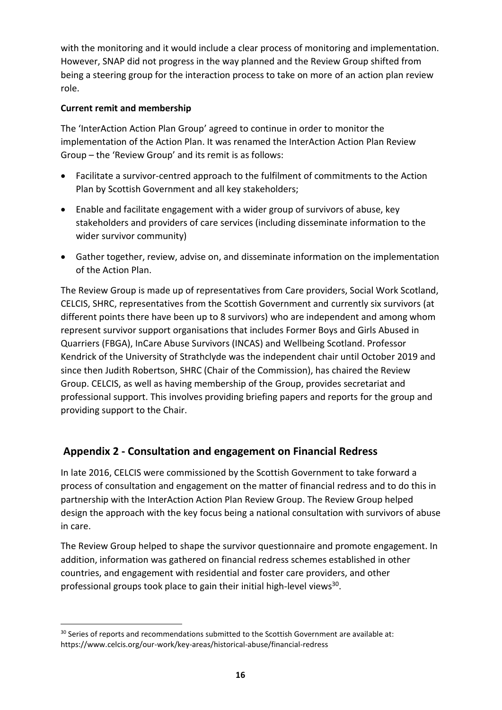with the monitoring and it would include a clear process of monitoring and implementation. However, SNAP did not progress in the way planned and the Review Group shifted from being a steering group for the interaction process to take on more of an action plan review role.

#### **Current remit and membership**

The 'InterAction Action Plan Group' agreed to continue in order to monitor the implementation of the Action Plan. It was renamed the InterAction Action Plan Review Group – the 'Review Group' and its remit is as follows:

- Facilitate a survivor-centred approach to the fulfilment of commitments to the Action Plan by Scottish Government and all key stakeholders;
- Enable and facilitate engagement with a wider group of survivors of abuse, key stakeholders and providers of care services (including disseminate information to the wider survivor community)
- Gather together, review, advise on, and disseminate information on the implementation of the Action Plan.

The Review Group is made up of representatives from Care providers, Social Work Scotland, CELCIS, SHRC, representatives from the Scottish Government and currently six survivors (at different points there have been up to 8 survivors) who are independent and among whom represent survivor support organisations that includes Former Boys and Girls Abused in Quarriers (FBGA), InCare Abuse Survivors (INCAS) and Wellbeing Scotland. Professor Kendrick of the University of Strathclyde was the independent chair until October 2019 and since then Judith Robertson, SHRC (Chair of the Commission), has chaired the Review Group. CELCIS, as well as having membership of the Group, provides secretariat and professional support. This involves providing briefing papers and reports for the group and providing support to the Chair.

# **Appendix 2 - Consultation and engagement on Financial Redress**

In late 2016, CELCIS were commissioned by the Scottish Government to take forward a process of consultation and engagement on the matter of financial redress and to do this in partnership with the InterAction Action Plan Review Group. The Review Group helped design the approach with the key focus being a national consultation with survivors of abuse in care.

The Review Group helped to shape the survivor questionnaire and promote engagement. In addition, information was gathered on financial redress schemes established in other countries, and engagement with residential and foster care providers, and other professional groups took place to gain their initial high-level views<sup>30</sup>.

<sup>1</sup> <sup>30</sup> Series of reports and recommendations submitted to the Scottish Government are available at: https://www.celcis.org/our-work/key-areas/historical-abuse/financial-redress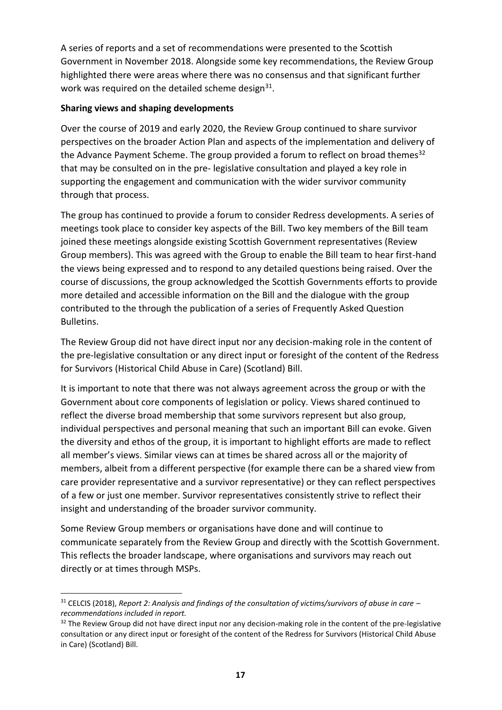A series of reports and a set of recommendations were presented to the Scottish Government in November 2018. Alongside some key recommendations, the Review Group highlighted there were areas where there was no consensus and that significant further work was required on the detailed scheme design $^{31}$ .

#### **Sharing views and shaping developments**

**.** 

Over the course of 2019 and early 2020, the Review Group continued to share survivor perspectives on the broader Action Plan and aspects of the implementation and delivery of the Advance Payment Scheme. The group provided a forum to reflect on broad themes<sup>32</sup> that may be consulted on in the pre- legislative consultation and played a key role in supporting the engagement and communication with the wider survivor community through that process.

The group has continued to provide a forum to consider Redress developments. A series of meetings took place to consider key aspects of the Bill. Two key members of the Bill team joined these meetings alongside existing Scottish Government representatives (Review Group members). This was agreed with the Group to enable the Bill team to hear first-hand the views being expressed and to respond to any detailed questions being raised. Over the course of discussions, the group acknowledged the Scottish Governments efforts to provide more detailed and accessible information on the Bill and the dialogue with the group contributed to the through the publication of a series of Frequently Asked Question Bulletins.

The Review Group did not have direct input nor any decision-making role in the content of the pre-legislative consultation or any direct input or foresight of the content of the Redress for Survivors (Historical Child Abuse in Care) (Scotland) Bill.

It is important to note that there was not always agreement across the group or with the Government about core components of legislation or policy. Views shared continued to reflect the diverse broad membership that some survivors represent but also group, individual perspectives and personal meaning that such an important Bill can evoke. Given the diversity and ethos of the group, it is important to highlight efforts are made to reflect all member's views. Similar views can at times be shared across all or the majority of members, albeit from a different perspective (for example there can be a shared view from care provider representative and a survivor representative) or they can reflect perspectives of a few or just one member. Survivor representatives consistently strive to reflect their insight and understanding of the broader survivor community.

Some Review Group members or organisations have done and will continue to communicate separately from the Review Group and directly with the Scottish Government. This reflects the broader landscape, where organisations and survivors may reach out directly or at times through MSPs.

<sup>31</sup> CELCIS (2018), *Report 2: Analysis and findings of the consultation of victims/survivors of abuse in care – recommendations included in report.*

 $32$  The Review Group did not have direct input nor any decision-making role in the content of the pre-legislative consultation or any direct input or foresight of the content of the Redress for Survivors (Historical Child Abuse in Care) (Scotland) Bill.